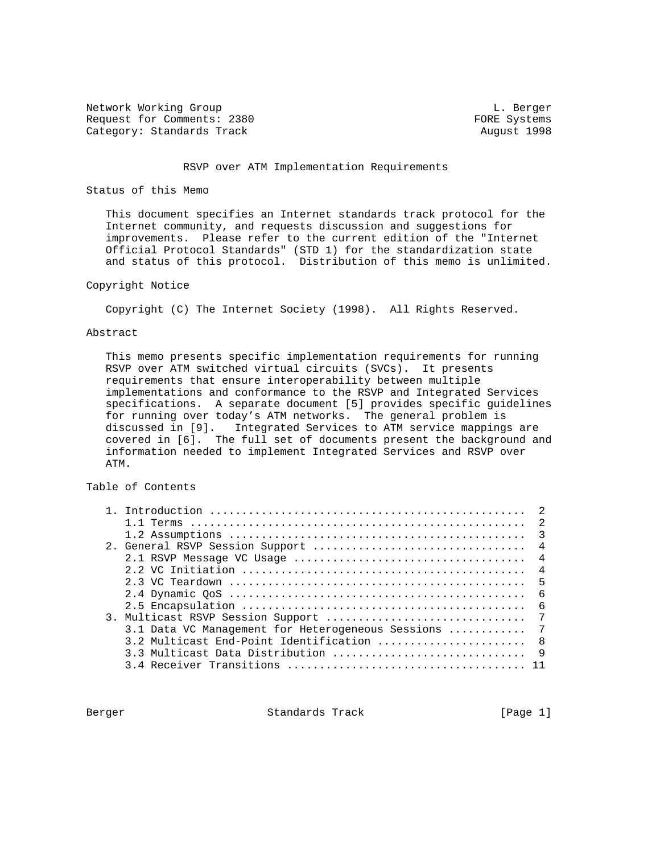Network Working Group and the contract of the contract of the contract of the contract of the contract of the contract of the contract of the contract of the contract of the contract of the contract of the contract of the Request for Comments: 2380 FORE Systems Category: Standards Track August 1998

#### RSVP over ATM Implementation Requirements

#### Status of this Memo

 This document specifies an Internet standards track protocol for the Internet community, and requests discussion and suggestions for improvements. Please refer to the current edition of the "Internet Official Protocol Standards" (STD 1) for the standardization state and status of this protocol. Distribution of this memo is unlimited.

## Copyright Notice

Copyright (C) The Internet Society (1998). All Rights Reserved.

#### Abstract

 This memo presents specific implementation requirements for running RSVP over ATM switched virtual circuits (SVCs). It presents requirements that ensure interoperability between multiple implementations and conformance to the RSVP and Integrated Services specifications. A separate document [5] provides specific guidelines for running over today's ATM networks. The general problem is discussed in [9]. Integrated Services to ATM service mappings are covered in [6]. The full set of documents present the background and information needed to implement Integrated Services and RSVP over ATM.

# Table of Contents

| $-5$                                                 |
|------------------------------------------------------|
| 6                                                    |
|                                                      |
|                                                      |
| 3.1 Data VC Management for Heterogeneous Sessions  7 |
|                                                      |
|                                                      |
|                                                      |

Berger Standards Track [Page 1]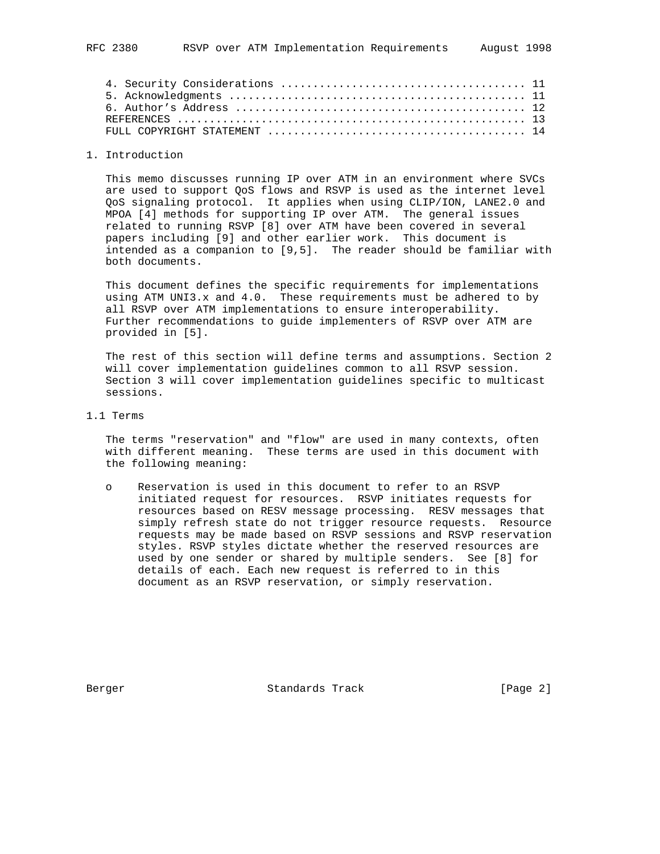## 1. Introduction

 This memo discusses running IP over ATM in an environment where SVCs are used to support QoS flows and RSVP is used as the internet level QoS signaling protocol. It applies when using CLIP/ION, LANE2.0 and MPOA [4] methods for supporting IP over ATM. The general issues related to running RSVP [8] over ATM have been covered in several papers including [9] and other earlier work. This document is intended as a companion to [9,5]. The reader should be familiar with both documents.

 This document defines the specific requirements for implementations using ATM UNI3.x and 4.0. These requirements must be adhered to by all RSVP over ATM implementations to ensure interoperability. Further recommendations to guide implementers of RSVP over ATM are provided in [5].

 The rest of this section will define terms and assumptions. Section 2 will cover implementation guidelines common to all RSVP session. Section 3 will cover implementation guidelines specific to multicast sessions.

1.1 Terms

 The terms "reservation" and "flow" are used in many contexts, often with different meaning. These terms are used in this document with the following meaning:

 o Reservation is used in this document to refer to an RSVP initiated request for resources. RSVP initiates requests for resources based on RESV message processing. RESV messages that simply refresh state do not trigger resource requests. Resource requests may be made based on RSVP sessions and RSVP reservation styles. RSVP styles dictate whether the reserved resources are used by one sender or shared by multiple senders. See [8] for details of each. Each new request is referred to in this document as an RSVP reservation, or simply reservation.

Berger Standards Track [Page 2]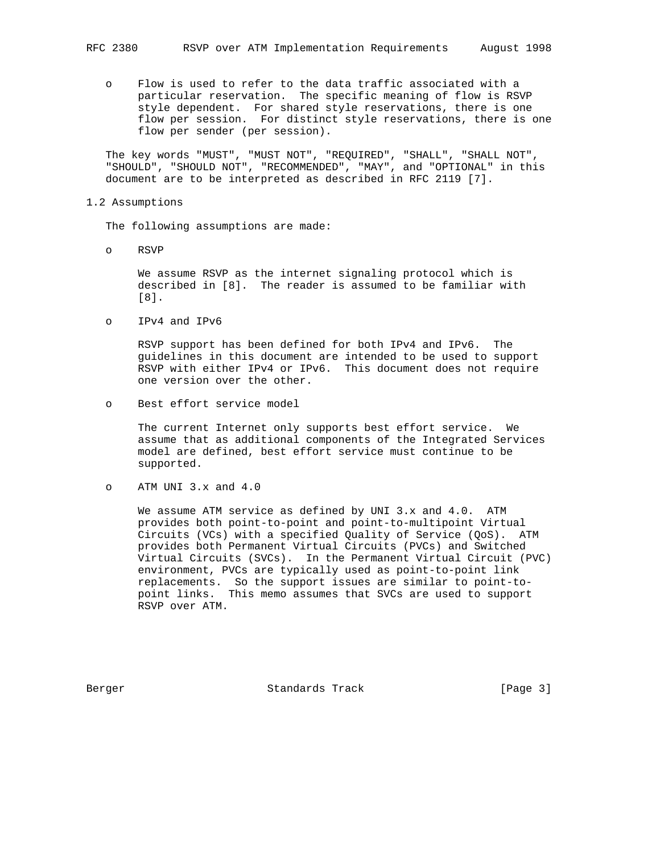o Flow is used to refer to the data traffic associated with a particular reservation. The specific meaning of flow is RSVP style dependent. For shared style reservations, there is one flow per session. For distinct style reservations, there is one flow per sender (per session).

 The key words "MUST", "MUST NOT", "REQUIRED", "SHALL", "SHALL NOT", "SHOULD", "SHOULD NOT", "RECOMMENDED", "MAY", and "OPTIONAL" in this document are to be interpreted as described in RFC 2119 [7].

#### 1.2 Assumptions

The following assumptions are made:

o RSVP

 We assume RSVP as the internet signaling protocol which is described in [8]. The reader is assumed to be familiar with [8].

o IPv4 and IPv6

 RSVP support has been defined for both IPv4 and IPv6. The guidelines in this document are intended to be used to support RSVP with either IPv4 or IPv6. This document does not require one version over the other.

o Best effort service model

 The current Internet only supports best effort service. We assume that as additional components of the Integrated Services model are defined, best effort service must continue to be supported.

o ATM UNI 3.x and 4.0

 We assume ATM service as defined by UNI 3.x and 4.0. ATM provides both point-to-point and point-to-multipoint Virtual Circuits (VCs) with a specified Quality of Service (QoS). ATM provides both Permanent Virtual Circuits (PVCs) and Switched Virtual Circuits (SVCs). In the Permanent Virtual Circuit (PVC) environment, PVCs are typically used as point-to-point link replacements. So the support issues are similar to point-to point links. This memo assumes that SVCs are used to support RSVP over ATM.

Berger Standards Track [Page 3]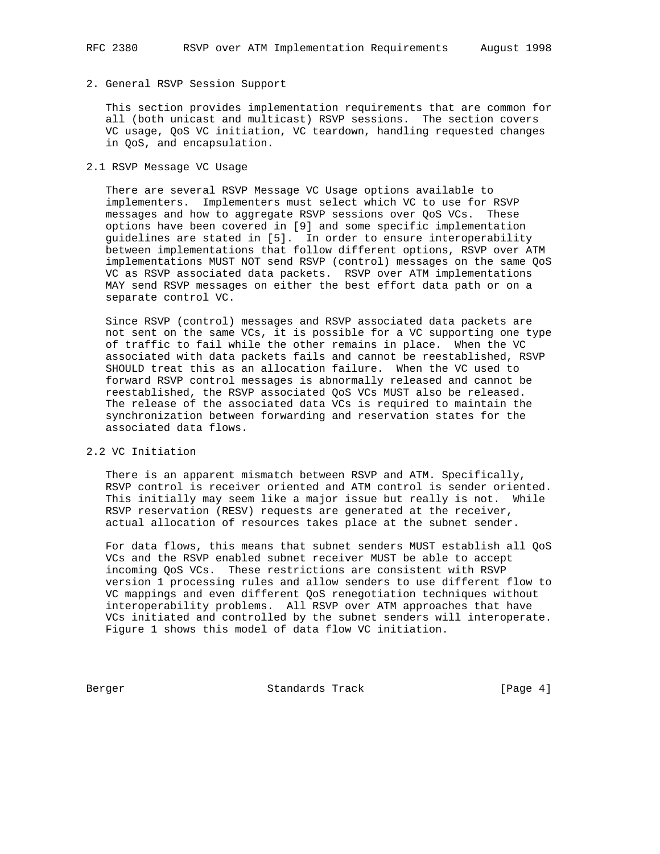# 2. General RSVP Session Support

 This section provides implementation requirements that are common for all (both unicast and multicast) RSVP sessions. The section covers VC usage, QoS VC initiation, VC teardown, handling requested changes in QoS, and encapsulation.

## 2.1 RSVP Message VC Usage

 There are several RSVP Message VC Usage options available to implementers. Implementers must select which VC to use for RSVP messages and how to aggregate RSVP sessions over QoS VCs. These options have been covered in [9] and some specific implementation guidelines are stated in [5]. In order to ensure interoperability between implementations that follow different options, RSVP over ATM implementations MUST NOT send RSVP (control) messages on the same QoS VC as RSVP associated data packets. RSVP over ATM implementations MAY send RSVP messages on either the best effort data path or on a separate control VC.

 Since RSVP (control) messages and RSVP associated data packets are not sent on the same VCs, it is possible for a VC supporting one type of traffic to fail while the other remains in place. When the VC associated with data packets fails and cannot be reestablished, RSVP SHOULD treat this as an allocation failure. When the VC used to forward RSVP control messages is abnormally released and cannot be reestablished, the RSVP associated QoS VCs MUST also be released. The release of the associated data VCs is required to maintain the synchronization between forwarding and reservation states for the associated data flows.

#### 2.2 VC Initiation

 There is an apparent mismatch between RSVP and ATM. Specifically, RSVP control is receiver oriented and ATM control is sender oriented. This initially may seem like a major issue but really is not. While RSVP reservation (RESV) requests are generated at the receiver, actual allocation of resources takes place at the subnet sender.

 For data flows, this means that subnet senders MUST establish all QoS VCs and the RSVP enabled subnet receiver MUST be able to accept incoming QoS VCs. These restrictions are consistent with RSVP version 1 processing rules and allow senders to use different flow to VC mappings and even different QoS renegotiation techniques without interoperability problems. All RSVP over ATM approaches that have VCs initiated and controlled by the subnet senders will interoperate. Figure 1 shows this model of data flow VC initiation.

Berger Standards Track [Page 4]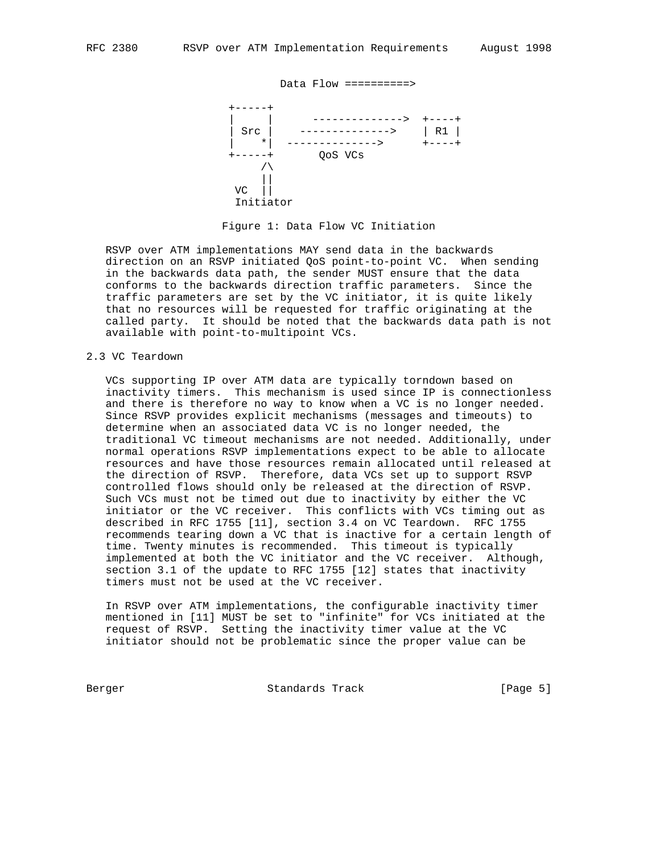

#### Figure 1: Data Flow VC Initiation

 RSVP over ATM implementations MAY send data in the backwards direction on an RSVP initiated QoS point-to-point VC. When sending in the backwards data path, the sender MUST ensure that the data conforms to the backwards direction traffic parameters. Since the traffic parameters are set by the VC initiator, it is quite likely that no resources will be requested for traffic originating at the called party. It should be noted that the backwards data path is not available with point-to-multipoint VCs.

#### 2.3 VC Teardown

 VCs supporting IP over ATM data are typically torndown based on inactivity timers. This mechanism is used since IP is connectionless and there is therefore no way to know when a VC is no longer needed. Since RSVP provides explicit mechanisms (messages and timeouts) to determine when an associated data VC is no longer needed, the traditional VC timeout mechanisms are not needed. Additionally, under normal operations RSVP implementations expect to be able to allocate resources and have those resources remain allocated until released at the direction of RSVP. Therefore, data VCs set up to support RSVP controlled flows should only be released at the direction of RSVP. Such VCs must not be timed out due to inactivity by either the VC initiator or the VC receiver. This conflicts with VCs timing out as described in RFC 1755 [11], section 3.4 on VC Teardown. RFC 1755 recommends tearing down a VC that is inactive for a certain length of time. Twenty minutes is recommended. This timeout is typically implemented at both the VC initiator and the VC receiver. Although, section 3.1 of the update to RFC 1755 [12] states that inactivity timers must not be used at the VC receiver.

 In RSVP over ATM implementations, the configurable inactivity timer mentioned in [11] MUST be set to "infinite" for VCs initiated at the request of RSVP. Setting the inactivity timer value at the VC initiator should not be problematic since the proper value can be

Berger Standards Track [Page 5]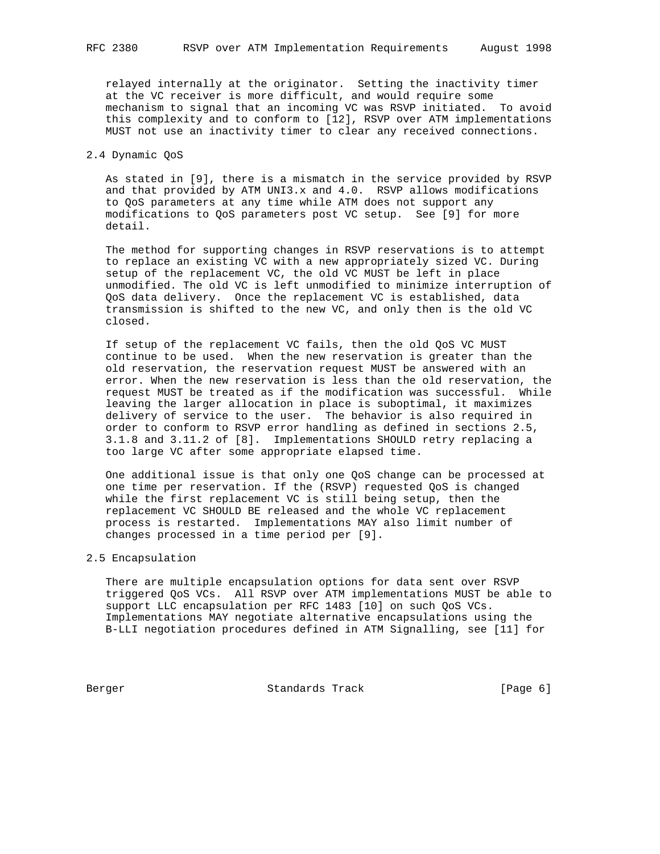relayed internally at the originator. Setting the inactivity timer at the VC receiver is more difficult, and would require some mechanism to signal that an incoming VC was RSVP initiated. To avoid this complexity and to conform to [12], RSVP over ATM implementations MUST not use an inactivity timer to clear any received connections.

## 2.4 Dynamic QoS

 As stated in [9], there is a mismatch in the service provided by RSVP and that provided by ATM UNI3. $x$  and  $4.0$ . RSVP allows modifications to QoS parameters at any time while ATM does not support any modifications to QoS parameters post VC setup. See [9] for more detail.

 The method for supporting changes in RSVP reservations is to attempt to replace an existing VC with a new appropriately sized VC. During setup of the replacement VC, the old VC MUST be left in place unmodified. The old VC is left unmodified to minimize interruption of QoS data delivery. Once the replacement VC is established, data transmission is shifted to the new VC, and only then is the old VC closed.

 If setup of the replacement VC fails, then the old QoS VC MUST continue to be used. When the new reservation is greater than the old reservation, the reservation request MUST be answered with an error. When the new reservation is less than the old reservation, the request MUST be treated as if the modification was successful. While leaving the larger allocation in place is suboptimal, it maximizes delivery of service to the user. The behavior is also required in order to conform to RSVP error handling as defined in sections 2.5, 3.1.8 and 3.11.2 of [8]. Implementations SHOULD retry replacing a too large VC after some appropriate elapsed time.

 One additional issue is that only one QoS change can be processed at one time per reservation. If the (RSVP) requested QoS is changed while the first replacement VC is still being setup, then the replacement VC SHOULD BE released and the whole VC replacement process is restarted. Implementations MAY also limit number of changes processed in a time period per [9].

#### 2.5 Encapsulation

 There are multiple encapsulation options for data sent over RSVP triggered QoS VCs. All RSVP over ATM implementations MUST be able to support LLC encapsulation per RFC 1483 [10] on such QoS VCs. Implementations MAY negotiate alternative encapsulations using the B-LLI negotiation procedures defined in ATM Signalling, see [11] for

Berger Standards Track [Page 6]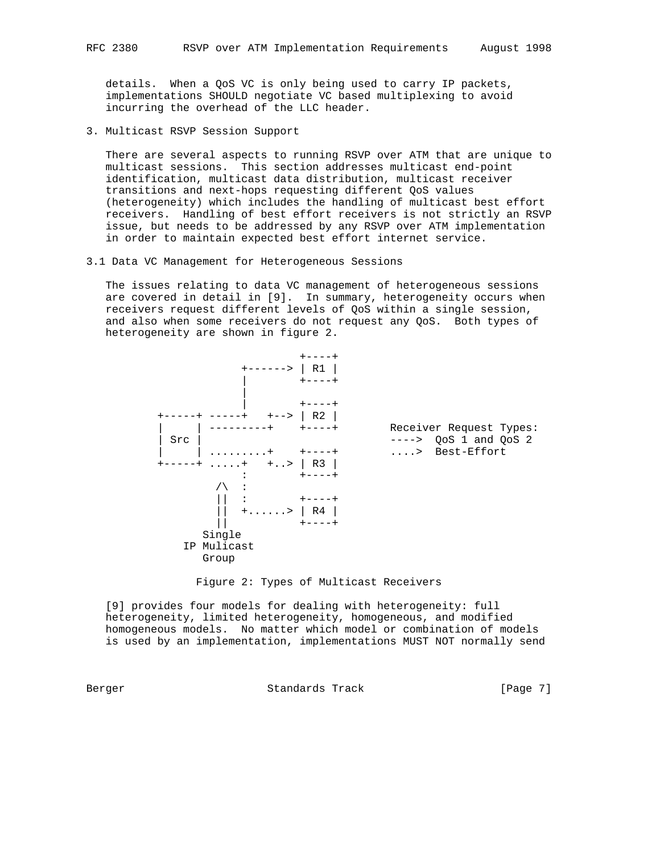details. When a QoS VC is only being used to carry IP packets, implementations SHOULD negotiate VC based multiplexing to avoid incurring the overhead of the LLC header.

3. Multicast RSVP Session Support

 There are several aspects to running RSVP over ATM that are unique to multicast sessions. This section addresses multicast end-point identification, multicast data distribution, multicast receiver transitions and next-hops requesting different QoS values (heterogeneity) which includes the handling of multicast best effort receivers. Handling of best effort receivers is not strictly an RSVP issue, but needs to be addressed by any RSVP over ATM implementation in order to maintain expected best effort internet service.

3.1 Data VC Management for Heterogeneous Sessions

 The issues relating to data VC management of heterogeneous sessions are covered in detail in [9]. In summary, heterogeneity occurs when receivers request different levels of QoS within a single session, and also when some receivers do not request any QoS. Both types of heterogeneity are shown in figure 2.





 [9] provides four models for dealing with heterogeneity: full heterogeneity, limited heterogeneity, homogeneous, and modified homogeneous models. No matter which model or combination of models is used by an implementation, implementations MUST NOT normally send

Berger Standards Track [Page 7]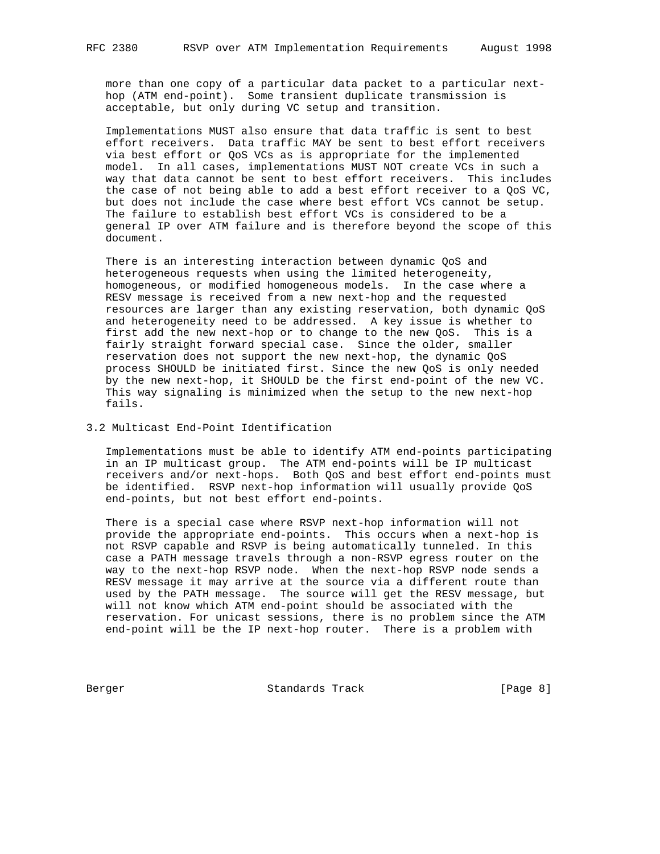more than one copy of a particular data packet to a particular next hop (ATM end-point). Some transient duplicate transmission is acceptable, but only during VC setup and transition.

 Implementations MUST also ensure that data traffic is sent to best effort receivers. Data traffic MAY be sent to best effort receivers via best effort or QoS VCs as is appropriate for the implemented model. In all cases, implementations MUST NOT create VCs in such a way that data cannot be sent to best effort receivers. This includes the case of not being able to add a best effort receiver to a QoS VC, but does not include the case where best effort VCs cannot be setup. The failure to establish best effort VCs is considered to be a general IP over ATM failure and is therefore beyond the scope of this document.

 There is an interesting interaction between dynamic QoS and heterogeneous requests when using the limited heterogeneity, homogeneous, or modified homogeneous models. In the case where a RESV message is received from a new next-hop and the requested resources are larger than any existing reservation, both dynamic QoS and heterogeneity need to be addressed. A key issue is whether to first add the new next-hop or to change to the new QoS. This is a fairly straight forward special case. Since the older, smaller reservation does not support the new next-hop, the dynamic QoS process SHOULD be initiated first. Since the new QoS is only needed by the new next-hop, it SHOULD be the first end-point of the new VC. This way signaling is minimized when the setup to the new next-hop fails.

## 3.2 Multicast End-Point Identification

 Implementations must be able to identify ATM end-points participating in an IP multicast group. The ATM end-points will be IP multicast receivers and/or next-hops. Both QoS and best effort end-points must be identified. RSVP next-hop information will usually provide QoS end-points, but not best effort end-points.

 There is a special case where RSVP next-hop information will not provide the appropriate end-points. This occurs when a next-hop is not RSVP capable and RSVP is being automatically tunneled. In this case a PATH message travels through a non-RSVP egress router on the way to the next-hop RSVP node. When the next-hop RSVP node sends a RESV message it may arrive at the source via a different route than used by the PATH message. The source will get the RESV message, but will not know which ATM end-point should be associated with the reservation. For unicast sessions, there is no problem since the ATM end-point will be the IP next-hop router. There is a problem with

Berger Standards Track [Page 8]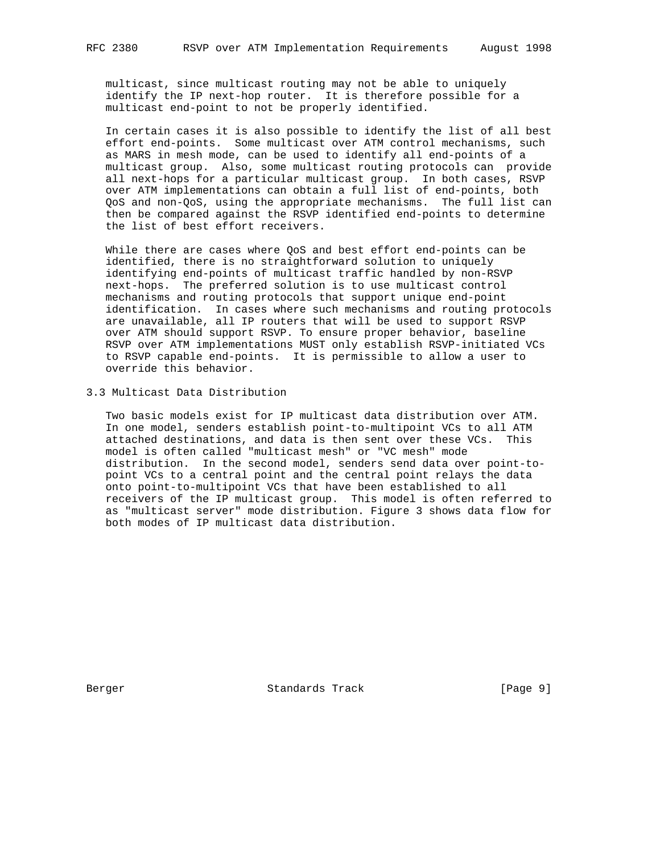multicast, since multicast routing may not be able to uniquely identify the IP next-hop router. It is therefore possible for a multicast end-point to not be properly identified.

 In certain cases it is also possible to identify the list of all best effort end-points. Some multicast over ATM control mechanisms, such as MARS in mesh mode, can be used to identify all end-points of a multicast group. Also, some multicast routing protocols can provide all next-hops for a particular multicast group. In both cases, RSVP over ATM implementations can obtain a full list of end-points, both QoS and non-QoS, using the appropriate mechanisms. The full list can then be compared against the RSVP identified end-points to determine the list of best effort receivers.

 While there are cases where QoS and best effort end-points can be identified, there is no straightforward solution to uniquely identifying end-points of multicast traffic handled by non-RSVP next-hops. The preferred solution is to use multicast control mechanisms and routing protocols that support unique end-point identification. In cases where such mechanisms and routing protocols are unavailable, all IP routers that will be used to support RSVP over ATM should support RSVP. To ensure proper behavior, baseline RSVP over ATM implementations MUST only establish RSVP-initiated VCs to RSVP capable end-points. It is permissible to allow a user to override this behavior.

3.3 Multicast Data Distribution

 Two basic models exist for IP multicast data distribution over ATM. In one model, senders establish point-to-multipoint VCs to all ATM attached destinations, and data is then sent over these VCs. This model is often called "multicast mesh" or "VC mesh" mode distribution. In the second model, senders send data over point-to point VCs to a central point and the central point relays the data onto point-to-multipoint VCs that have been established to all receivers of the IP multicast group. This model is often referred to as "multicast server" mode distribution. Figure 3 shows data flow for both modes of IP multicast data distribution.

Berger Standards Track [Page 9]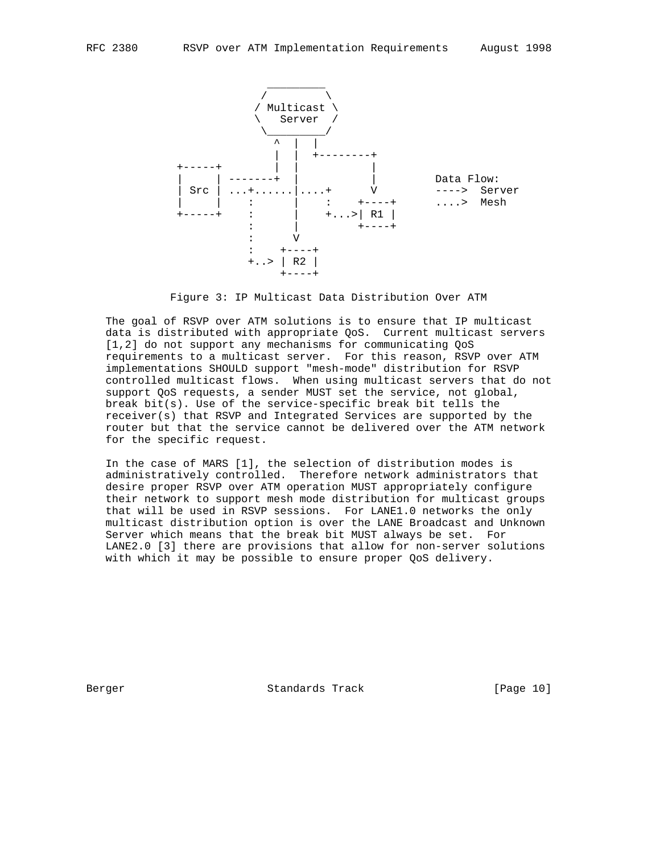

Figure 3: IP Multicast Data Distribution Over ATM

 The goal of RSVP over ATM solutions is to ensure that IP multicast data is distributed with appropriate QoS. Current multicast servers [1,2] do not support any mechanisms for communicating QoS requirements to a multicast server. For this reason, RSVP over ATM implementations SHOULD support "mesh-mode" distribution for RSVP controlled multicast flows. When using multicast servers that do not support QoS requests, a sender MUST set the service, not global, break bit(s). Use of the service-specific break bit tells the receiver(s) that RSVP and Integrated Services are supported by the router but that the service cannot be delivered over the ATM network for the specific request.

 In the case of MARS [1], the selection of distribution modes is administratively controlled. Therefore network administrators that desire proper RSVP over ATM operation MUST appropriately configure their network to support mesh mode distribution for multicast groups that will be used in RSVP sessions. For LANE1.0 networks the only multicast distribution option is over the LANE Broadcast and Unknown Server which means that the break bit MUST always be set. For LANE2.0 [3] there are provisions that allow for non-server solutions with which it may be possible to ensure proper QoS delivery.

Berger Standards Track [Page 10]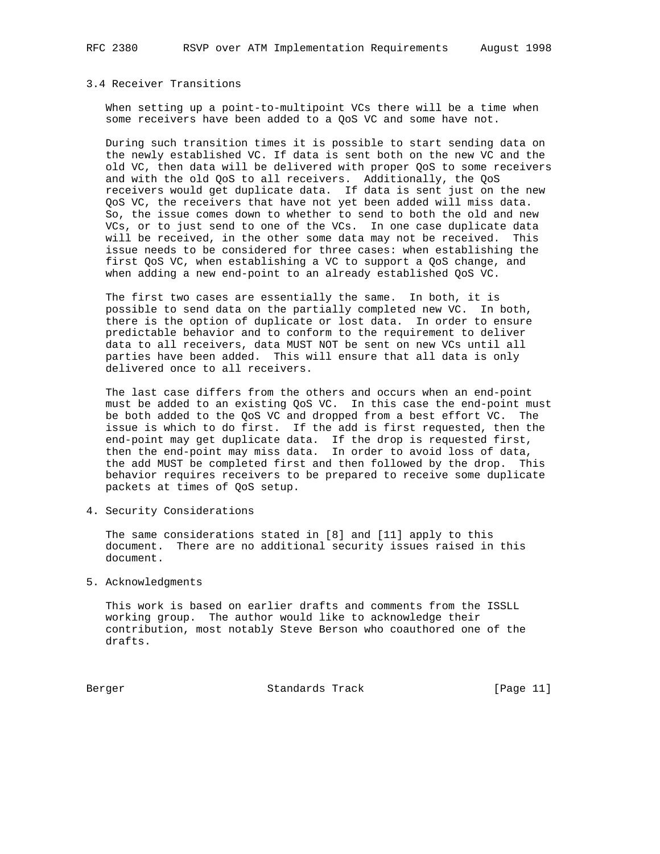# 3.4 Receiver Transitions

 When setting up a point-to-multipoint VCs there will be a time when some receivers have been added to a QoS VC and some have not.

 During such transition times it is possible to start sending data on the newly established VC. If data is sent both on the new VC and the old VC, then data will be delivered with proper QoS to some receivers and with the old QoS to all receivers. Additionally, the QoS receivers would get duplicate data. If data is sent just on the new QoS VC, the receivers that have not yet been added will miss data. So, the issue comes down to whether to send to both the old and new VCs, or to just send to one of the VCs. In one case duplicate data will be received, in the other some data may not be received. This issue needs to be considered for three cases: when establishing the first QoS VC, when establishing a VC to support a QoS change, and when adding a new end-point to an already established QoS VC.

 The first two cases are essentially the same. In both, it is possible to send data on the partially completed new VC. In both, there is the option of duplicate or lost data. In order to ensure predictable behavior and to conform to the requirement to deliver data to all receivers, data MUST NOT be sent on new VCs until all parties have been added. This will ensure that all data is only delivered once to all receivers.

 The last case differs from the others and occurs when an end-point must be added to an existing QoS VC. In this case the end-point must be both added to the QoS VC and dropped from a best effort VC. The issue is which to do first. If the add is first requested, then the end-point may get duplicate data. If the drop is requested first, then the end-point may miss data. In order to avoid loss of data, the add MUST be completed first and then followed by the drop. This behavior requires receivers to be prepared to receive some duplicate packets at times of QoS setup.

4. Security Considerations

 The same considerations stated in [8] and [11] apply to this document. There are no additional security issues raised in this document.

5. Acknowledgments

 This work is based on earlier drafts and comments from the ISSLL working group. The author would like to acknowledge their contribution, most notably Steve Berson who coauthored one of the drafts.

Berger Standards Track [Page 11]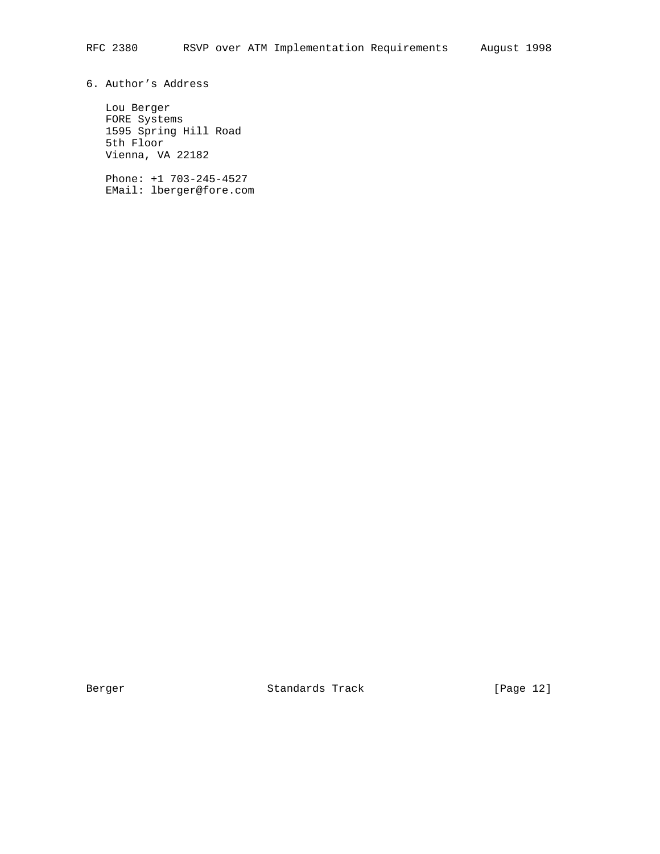# 6. Author's Address

 Lou Berger FORE Systems 1595 Spring Hill Road 5th Floor Vienna, VA 22182

 Phone: +1 703-245-4527 EMail: lberger@fore.com

Berger Standards Track [Page 12]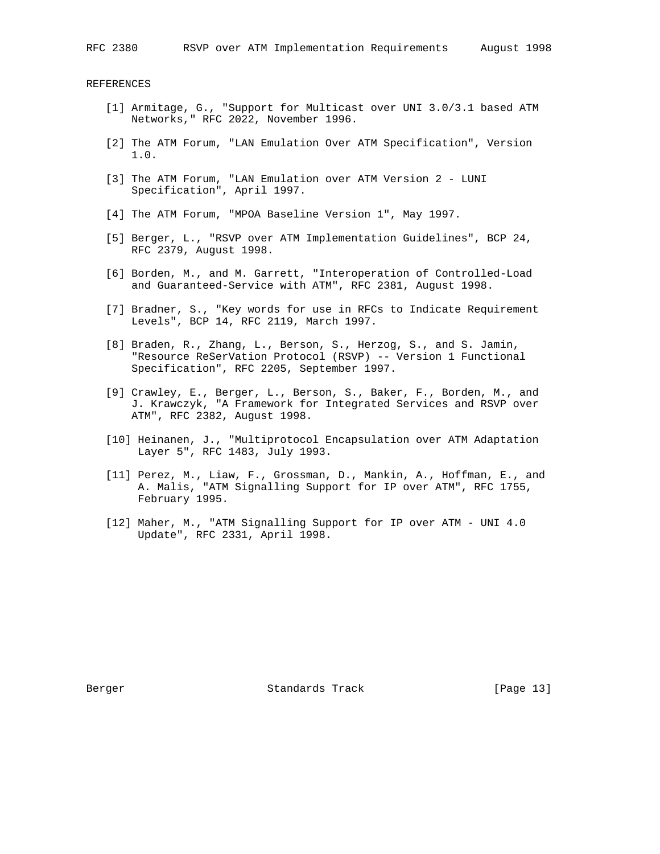REFERENCES

- [1] Armitage, G., "Support for Multicast over UNI 3.0/3.1 based ATM Networks," RFC 2022, November 1996.
- [2] The ATM Forum, "LAN Emulation Over ATM Specification", Version 1.0.
- [3] The ATM Forum, "LAN Emulation over ATM Version 2 LUNI Specification", April 1997.
- [4] The ATM Forum, "MPOA Baseline Version 1", May 1997.
- [5] Berger, L., "RSVP over ATM Implementation Guidelines", BCP 24, RFC 2379, August 1998.
- [6] Borden, M., and M. Garrett, "Interoperation of Controlled-Load and Guaranteed-Service with ATM", RFC 2381, August 1998.
- [7] Bradner, S., "Key words for use in RFCs to Indicate Requirement Levels", BCP 14, RFC 2119, March 1997.
- [8] Braden, R., Zhang, L., Berson, S., Herzog, S., and S. Jamin, "Resource ReSerVation Protocol (RSVP) -- Version 1 Functional Specification", RFC 2205, September 1997.
- [9] Crawley, E., Berger, L., Berson, S., Baker, F., Borden, M., and J. Krawczyk, "A Framework for Integrated Services and RSVP over ATM", RFC 2382, August 1998.
- [10] Heinanen, J., "Multiprotocol Encapsulation over ATM Adaptation Layer 5", RFC 1483, July 1993.
- [11] Perez, M., Liaw, F., Grossman, D., Mankin, A., Hoffman, E., and A. Malis, "ATM Signalling Support for IP over ATM", RFC 1755, February 1995.
- [12] Maher, M., "ATM Signalling Support for IP over ATM UNI 4.0 Update", RFC 2331, April 1998.

Berger Standards Track [Page 13]